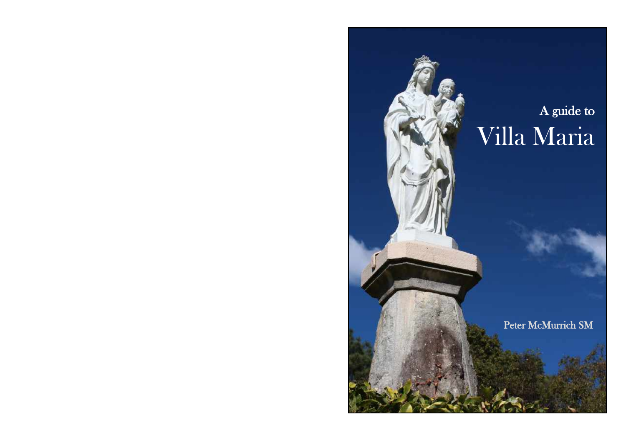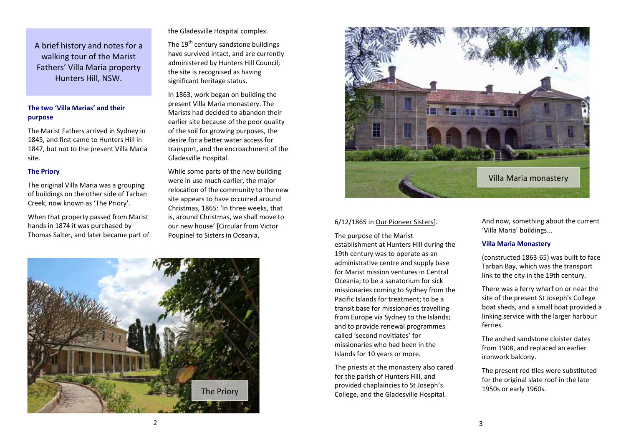A brief history and notes for a walking tour of the Marist Fathers' Villa Maria property Hunters Hill, NSW.

## **The two 'Villa Marias' and their purpose**

The Marist Fathers arrived in Sydney in 1845, and first came to Hunters Hill in 1847, but not to the present Villa Maria site.

#### **The Priory**

The original Villa Maria was a grouping of buildings on the other side of Tarban Creek, now known as 'The Priory'.

When that property passed from Marist hands in 1874 it was purchased by Thomas Salter, and later became part of the Gladesville Hospital complex.

The 19<sup>th</sup> century sandstone buildings have survived intact, and are currently administered by Hunters Hill Council; the site is recognised as having significant heritage status.

In 1863, work began on building the present Villa Maria monastery. The Marists had decided to abandon their earlier site because of the poor quality of the soil for growing purposes, the desire for a better water access for transport, and the encroachment of the Gladesville Hospital.

While some parts of the new building were in use much earlier, the major relocation of the community to the new site appears to have occurred around Christmas, 1865: 'In three weeks, that is, around Christmas, we shall move to our new house' [Circular from Victor Poupinel to Sisters in Oceania,





#### 6/12/1865 in Our Pioneer Sisters].

The purpose of the Marist establishment at Hunters Hill during the 19th century was to operate as an administrative centre and supply base for Marist mission ventures in Central Oceania; to be a sanatorium for sick missionaries coming to Sydney from the Pacific Islands for treatment; to be a transit base for missionaries travelling from Europe via Sydney to the Islands; and to provide renewal programmes called 'second novitiates' for missionaries who had been in the Islands for 10 years or more.

The priests at the monastery also cared for the parish of Hunters Hill, and provided chaplaincies to St Joseph's College, and the Gladesville Hospital.

And now, something about the current 'Villa Maria' buildings...

#### **Villa Maria Monastery**

(constructed 1863-65) was built to face Tarban Bay, which was the transport link to the city in the 19th century.

There was a ferry wharf on or near the site of the present St Joseph's College boat sheds, and a small boat provided a linking service with the larger harbour ferries.

The arched sandstone cloister dates from 1908, and replaced an earlier ironwork balcony.

The present red tiles were substituted for the original slate roof in the late 1950s or early 1960s.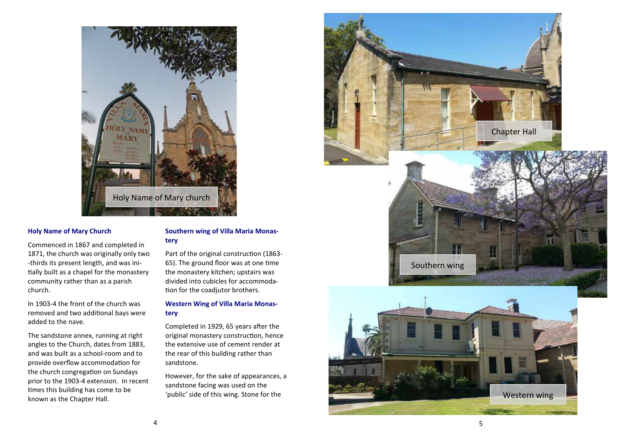

### **Holy Name of Mary Church**

Commenced in 1867 and completed in 1871, the church was originally only two -thirds its present length, and was initially built as a chapel for the monastery community rather than as a parish church.

In 1903-4 the front of the church was removed and two additional bays were added to the nave.

The sandstone annex, running at right angles to the Church, dates from 1883, and was built as a school-room and to provide overflow accommodation for the church congregation on Sundays prior to the 1903-4 extension. In recent times this building has come to be known as the Chapter Hall.

# **Southern wing of Villa Maria Monastery**

Part of the original construction (1863- 65). The ground floor was at one time the monastery kitchen; upstairs was divided into cubicles for accommodation for the coadjutor brothers.

# **Western Wing of Villa Maria Monastery**

Completed in 1929, 65 years after the original monastery construction, hence the extensive use of cement render at the rear of this building rather than sandstone.

However, for the sake of appearances, a sandstone facing was used on the 'public' side of this wing. Stone for the





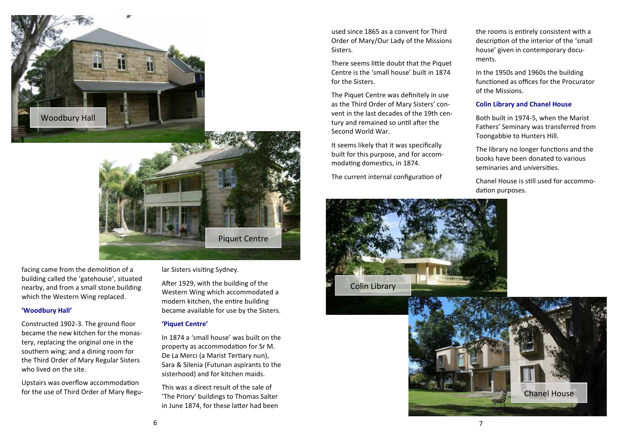



facing came from the demolition of a building called the 'gatehouse', situated nearby, and from a small stone building which the Western Wing replaced.

### **'Woodbury Hall'**

Constructed 1902-3. The ground floor became the new kitchen for the monastery, replacing the original one in the southern wing; and a dining room for the Third Order of Mary Regular Sisters who lived on the site.

Upstairs was overflow accommodation for the use of Third Order of Mary Regular Sisters visiting Sydney.

After 1929, with the building of the Western Wing which accommodated a modern kitchen, the entire building became available for use by the Sisters.

### **'Piquet Centre'**

In 1874 a 'small house' was built on the property as accommodation for Sr M. De La Merci (a Marist Tertiary nun), Sara & Silenia (Futunan aspirants to the sisterhood) and for kitchen maids.

This was a direct result of the sale of 'The Priory' buildings to Thomas Salter in June 1874, for these latter had been used since 1865 as a convent for Third Order of Mary/Our Lady of the Missions Sisters.

There seems little doubt that the Piquet Centre is the 'small house' built in 1874 for the Sisters.

The Piquet Centre was definitely in use as the Third Order of Mary Sisters' convent in the last decades of the 19th century and remained so until after the Second World War.

It seems likely that it was specifically built for this purpose, and for accommodating domestics, in 1874.

The current internal configuration of



the rooms is entirely consistent with a description of the interior of the 'small house' given in contemporary documents.

In the 1950s and 1960s the building functioned as offices for the Procurator of the Missions.

### **Colin Library and Chanel House**

Both built in 1974-5, when the Marist Fathers' Seminary was transferred from Toongabbie to Hunters Hill.

The library no longer functions and the books have been donated to various seminaries and universities.

Chanel House is still used for accommodation purposes.

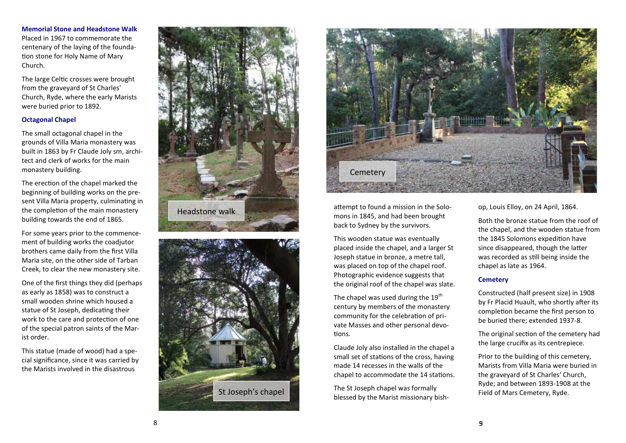**Memorial Stone and Headstone Walk** Placed in 1967 to commemorate the centenary of the laying of the foundation stone for Holy Name of Mary Church.

The large Celtic crosses were brought from the graveyard of St Charles' Church, Ryde, where the early Marists were buried prior to 1892.

## **Octagonal Chapel**

The small octagonal chapel in the grounds of Villa Maria monastery was built in 1863 by Fr Claude Joly sm, architect and clerk of works for the main monastery building.

The erection of the chapel marked the beginning of building works on the present Villa Maria property, culminating in the completion of the main monastery building towards the end of 1865.

For some years prior to the commencement of building works the coadjutor brothers came daily from the first Villa Maria site, on the other side of Tarban Creek, to clear the new monastery site.

One of the first things they did (perhaps as early as 1858) was to construct a small wooden shrine which housed a statue of St Joseph, dedicating their work to the care and protection of one of the special patron saints of the Marist order.

This statue (made of wood) had a special significance, since it was carried by the Marists involved in the disastrous







mons in 1845, and had been brought back to Sydney by the survivors.

attempt to found a mission in the Solo-<br>
mons in 1845, and had been brought<br>
back to Sydney by the survivors.<br>
This wooden statue was eventually<br>
placed inside the chapel, and a larger St<br>
sloseph statue in bronze, a metre This wooden statue was eventually placed inside the chapel, and a larger St Joseph statue in bronze, a metre tall, was placed on top of the chapel roof. Photographic evidence suggests that the original roof of the chapel was slate.

The chapel was used during the  $19<sup>th</sup>$ century by members of the monastery community for the celebration of private Masses and other personal devotions.

Claude Joly also installed in the chapel a small set of stations of the cross, having made 14 recesses in the walls of the chapel to accommodate the 14 stations.

The St Joseph chapel was formally blessed by the Marist missionary bishop, Louis Elloy, on 24 April, 1864.

Both the bronze statue from the roof of the chapel, and the wooden statue from the 1845 Solomons expedition have since disappeared, though the latter was recorded as still being inside the chapel as late as 1964.

## **Cemetery**

Constructed (half present size) in 1908 by Fr Placid Huault, who shortly after its completion became the first person to be buried there; extended 1937-8.

The original section of the cemetery had the large crucifix as its centrepiece.

Prior to the building of this cemetery, Marists from Villa Maria were buried in the graveyard of St Charles' Church, Ryde; and between 1893-1908 at the Field of Mars Cemetery, Ryde.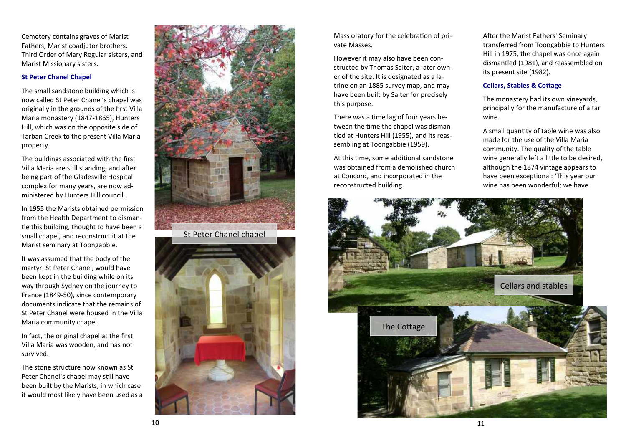Cemetery contains graves of Marist Fathers, Marist coadjutor brothers, Third Order of Mary Regular sisters, and Marist Missionary sisters.

## **St Peter Chanel Chapel**

The small sandstone building which is now called St Peter Chanel's chapel was originally in the grounds of the first Villa Maria monastery (1847-1865), Hunters Hill, which was on the opposite side of Tarban Creek to the present Villa Maria property.

The buildings associated with the first Villa Maria are still standing, and after being part of the Gladesville Hospital complex for many years, are now administered by Hunters Hill council.

In 1955 the Marists obtained permission from the Health Department to dismantle this building, thought to have been a small chapel, and reconstruct it at the Marist seminary at Toongabbie.

It was assumed that the body of the martyr, St Peter Chanel, would have been kept in the building while on its way through Sydney on the journey to France (1849-50), since contemporary documents indicate that the remains of St Peter Chanel were housed in the Villa Maria community chapel.

In fact, the original chapel at the first Villa Maria was wooden, and has not survived.

The stone structure now known as St Peter Chanel's chapel may still have been built by the Marists, in which case it would most likely have been used as a



Mass oratory for the celebration of private Masses.

However it may also have been constructed by Thomas Salter, a later owner of the site. It is designated as a latrine on an 1885 survey map, and may have been built by Salter for precisely this purpose.

There was a time lag of four years between the time the chapel was dismantled at Hunters Hill (1955), and its reassembling at Toongabbie (1959).

At this time, some additional sandstone was obtained from a demolished church at Concord, and incorporated in the reconstructed building.

After the Marist Fathers' Seminary transferred from Toongabbie to Hunters Hill in 1975, the chapel was once again dismantled (1981), and reassembled on its present site (1982).

# **Cellars, Stables & Cottage**

The monastery had its own vineyards, principally for the manufacture of altar wine.

A small quantity of table wine was also made for the use of the Villa Maria community. The quality of the table wine generally left a little to be desired, although the 1874 vintage appears to have been exceptional: 'This year our wine has been wonderful; we have